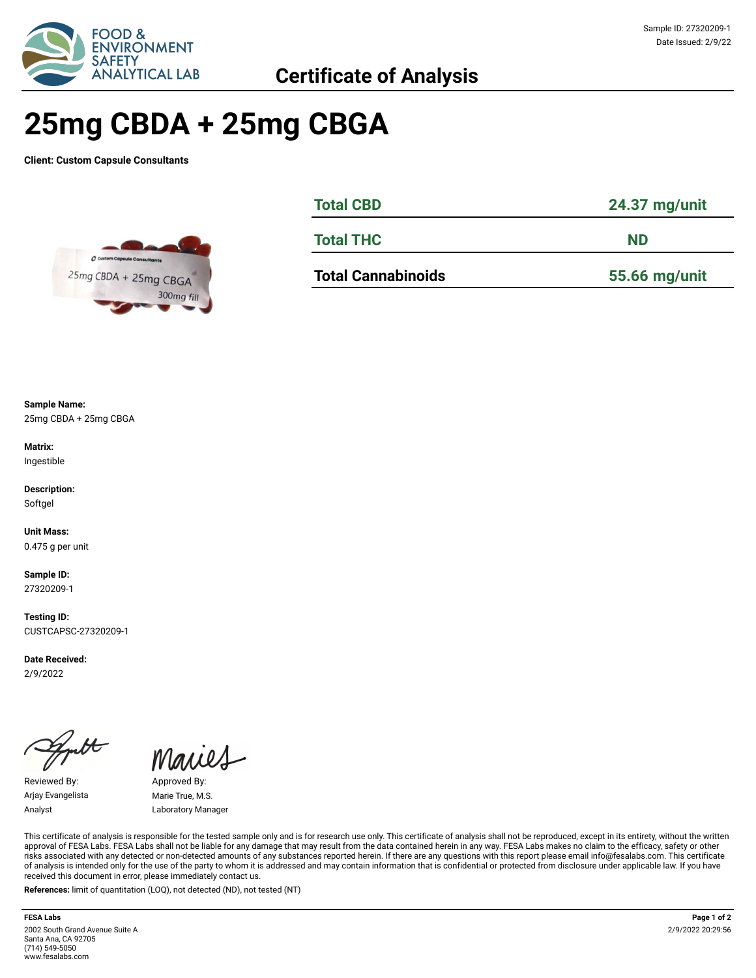

# **25mg CBDA + 25mg CBGA**

**Client: Custom Capsule Consultants**



| <b>Total CBD</b>          | 24.37 mg/unit |  |  |  |
|---------------------------|---------------|--|--|--|
| <b>Total THC</b>          | <b>ND</b>     |  |  |  |
| <b>Total Cannabinoids</b> | 55.66 mg/unit |  |  |  |

**Sample Name:** 

25mg CBDA + 25mg CBGA

**Matrix:** Ingestible

**Description:** Softgel

**Unit Mass:**  0.475 g per unit

**Sample ID:**  27320209-1

**Testing ID:**  CUSTCAPSC-27320209-1

**Date Received:**  2/9/2022

Reviewed By: Approved By: Arjay Evangelista Marie True, M.S. Analyst **Laboratory Manager** 

This certificate of analysis is responsible for the tested sample only and is for research use only. This certificate of analysis shall not be reproduced, except in its entirety, without the written approval of FESA Labs. FESA Labs shall not be liable for any damage that may result from the data contained herein in any way. FESA Labs makes no claim to the efficacy, safety or other risks associated with any detected or non-detected amounts of any substances reported herein. If there are any questions with this report please email info@fesalabs.com. This certificate of analysis is intended only for the use of the party to whom it is addressed and may contain information that is confidential or protected from disclosure under applicable law. If you have received this document in error, please immediately contact us.

**References:** limit of quantitation (LOQ), not detected (ND), not tested (NT)

#### **FESA Labs Page 1 of 2** 2002 South Grand Avenue Suite A Santa Ana, CA 92705 (714) 549-5050 www.fesalabs.com